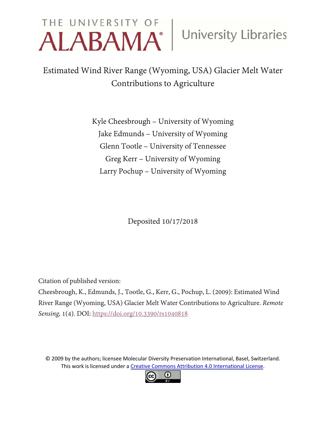# THE UNIVERSITY OF University Libraries

Estimated Wind River Range (Wyoming, USA) Glacier Melt Water Contributions to Agriculture

> Kyle Cheesbrough – University of Wyoming Jake Edmunds – University of Wyoming Glenn Tootle – University of Tennessee Greg Kerr – University of Wyoming Larry Pochup – University of Wyoming

> > Deposited 10/17/2018

Citation of published version:

Cheesbrough, K., Edmunds, J., Tootle, G., Kerr, G., Pochup, L. (2009): Estimated Wind River Range (Wyoming, USA) Glacier Melt Water Contributions to Agriculture. *Remote Sensing,* 1(4). DOI:<https://doi.org/10.3390/rs1040818>

© 2009 by the authors; licensee Molecular Diversity Preservation International, Basel, Switzerland. This work is licensed under a [Creative Commons Attribution 4.0 International License.](http://creativecommons.org/licenses/by/4.0/)

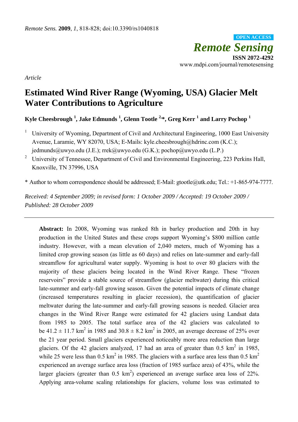*Remote Sensing*  **ISSN 2072-4292**  www.mdpi.com/journal/remotesensing **OPEN ACCESS**

*Article* 

## **Estimated Wind River Range (Wyoming, USA) Glacier Melt Water Contributions to Agriculture**

**Kyle Cheesbrough <sup>1</sup> , Jake Edmunds 1 , Glenn Tootle 2,\*, Greg Kerr 1 and Larry Pochop <sup>1</sup>**

- 1 University of Wyoming, Department of Civil and Architectural Engineering, 1000 East University Avenue, Laramie, WY 82070, USA; E-Mails: kyle.cheesbrough@hdrinc.com (K.C.); jedmunds@uwyo.edu (J.E.); rrek@uwyo.edu (G.K.); pochop@uwyo.edu (L.P.)
- <sup>2</sup> University of Tennessee, Department of Civil and Environmental Engineering, 223 Perkins Hall, Knoxville, TN 37996, USA

\* Author to whom correspondence should be addressed; E-Mail: gtootle@utk.edu; Tel.: +1-865-974-7777.

*Received: 4 September 2009; in revised form: 1 October 2009 / Accepted: 19 October 2009 / Published: 28 October 2009* 

**Abstract:** In 2008, Wyoming was ranked 8th in barley production and 20th in hay production in the United States and these crops support Wyoming's \$800 million cattle industry. However, with a mean elevation of 2,040 meters, much of Wyoming has a limited crop growing season (as little as 60 days) and relies on late-summer and early-fall streamflow for agricultural water supply. Wyoming is host to over 80 glaciers with the majority of these glaciers being located in the Wind River Range. These "frozen reservoirs" provide a stable source of streamflow (glacier meltwater) during this critical late-summer and early-fall growing season. Given the potential impacts of climate change (increased temperatures resulting in glacier recession), the quantification of glacier meltwater during the late-summer and early-fall growing seasons is needed. Glacier area changes in the Wind River Range were estimated for 42 glaciers using Landsat data from 1985 to 2005. The total surface area of the 42 glaciers was calculated to be 41.2  $\pm$  11.7 km<sup>2</sup> in 1985 and 30.8  $\pm$  8.2 km<sup>2</sup> in 2005, an average decrease of 25% over the 21 year period. Small glaciers experienced noticeably more area reduction than large glaciers. Of the 42 glaciers analyzed, 17 had an area of greater than  $0.5 \text{ km}^2$  in 1985, while 25 were less than 0.5 km<sup>2</sup> in 1985. The glaciers with a surface area less than 0.5 km<sup>2</sup> experienced an average surface area loss (fraction of 1985 surface area) of 43%, while the larger glaciers (greater than  $0.5 \text{ km}^2$ ) experienced an average surface area loss of 22%. Applying area-volume scaling relationships for glaciers, volume loss was estimated to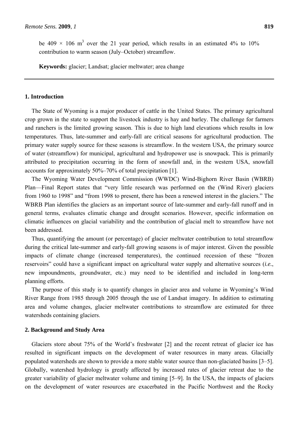be 409  $\times$  106 m<sup>3</sup> over the 21 year period, which results in an estimated 4% to 10% contribution to warm season (July–October) streamflow.

**Keywords:** glacier; Landsat; glacier meltwater; area change

#### **1. Introduction**

The State of Wyoming is a major producer of cattle in the United States. The primary agricultural crop grown in the state to support the livestock industry is hay and barley. The challenge for farmers and ranchers is the limited growing season. This is due to high land elevations which results in low temperatures. Thus, late-summer and early-fall are critical seasons for agricultural production. The primary water supply source for these seasons is streamflow. In the western USA, the primary source of water (streamflow) for municipal, agricultural and hydropower use is snowpack. This is primarily attributed to precipitation occurring in the form of snowfall and, in the western USA, snowfall accounts for approximately 50%–70% of total precipitation [1].

The Wyoming Water Development Commission (WWDC) Wind-Bighorn River Basin (WBRB) Plan—Final Report states that "very little research was performed on the (Wind River) glaciers from 1960 to 1998" and "from 1998 to present, there has been a renewed interest in the glaciers." The WBRB Plan identifies the glaciers as an important source of late-summer and early-fall runoff and in general terms, evaluates climatic change and drought scenarios. However, specific information on climatic influences on glacial variability and the contribution of glacial melt to streamflow have not been addressed.

Thus, quantifying the amount (or percentage) of glacier meltwater contribution to total streamflow during the critical late-summer and early-fall growing seasons is of major interest. Given the possible impacts of climate change (increased temperatures), the continued recession of these "frozen reservoirs" could have a significant impact on agricultural water supply and alternative sources (*i.e.*, new impoundments, groundwater, etc.) may need to be identified and included in long-term planning efforts.

The purpose of this study is to quantify changes in glacier area and volume in Wyoming's Wind River Range from 1985 through 2005 through the use of Landsat imagery. In addition to estimating area and volume changes, glacier meltwater contributions to streamflow are estimated for three watersheds containing glaciers.

#### **2. Background and Study Area**

Glaciers store about 75% of the World's freshwater [2] and the recent retreat of glacier ice has resulted in significant impacts on the development of water resources in many areas. Glacially populated watersheds are shown to provide a more stable water source than non-glaciated basins [3–5]. Globally, watershed hydrology is greatly affected by increased rates of glacier retreat due to the greater variability of glacier meltwater volume and timing [5–9]. In the USA, the impacts of glaciers on the development of water resources are exacerbated in the Pacific Northwest and the Rocky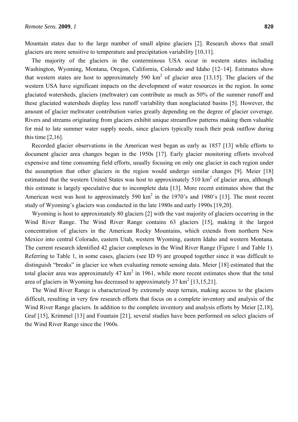Mountain states due to the large number of small alpine glaciers [2]. Research shows that small glaciers are more sensitive to temperature and precipitation variability [10,11].

The majority of the glaciers in the conterminous USA occur in western states including Washington, Wyoming, Montana, Oregon, California, Colorado and Idaho [12–14]. Estimates show that western states are host to approximately 590  $km^2$  of glacier area [13,15]. The glaciers of the western USA have significant impacts on the development of water resources in the region. In some glaciated watersheds, glaciers (meltwater) can contribute as much as 50% of the summer runoff and these glaciated watersheds display less runoff variability than nonglaciated basins [5]. However, the amount of glacier meltwater contribution varies greatly depending on the degree of glacier coverage. Rivers and streams originating from glaciers exhibit unique streamflow patterns making them valuable for mid to late summer water supply needs, since glaciers typically reach their peak outflow during this time  $[2,16]$ .

Recorded glacier observations in the American west began as early as 1857 [13] while efforts to document glacier area changes began in the 1950s [17]. Early glacier monitoring efforts involved expensive and time consuming field efforts, usually focusing on only one glacier in each region under the assumption that other glaciers in the region would undergo similar changes [9]. Meier [18] estimated that the western United States was host to approximately 510  $\text{km}^2$  of glacier area, although this estimate is largely speculative due to incomplete data [13]. More recent estimates show that the American west was host to approximately 590  $km^2$  in the 1970's and 1980's [13]. The most recent study of Wyoming's glaciers was conducted in the late 1980s and early 1990s [19,20].

Wyoming is host to approximately 80 glaciers [2] with the vast majority of glaciers occurring in the Wind River Range. The Wind River Range contains 63 glaciers [15], making it the largest concentration of glaciers in the American Rocky Mountains, which extends from northern New Mexico into central Colorado, eastern Utah, western Wyoming, eastern Idaho and western Montana. The current research identified 42 glacier complexes in the Wind River Range (Figure 1 and Table 1). Referring to Table 1, in some cases, glaciers (see ID 9) are grouped together since it was difficult to distinguish "breaks" in glacier ice when evaluating remote sensing data. Meier [18] estimated that the total glacier area was approximately 47  $km^2$  in 1961, while more recent estimates show that the total area of glaciers in Wyoming has decreased to approximately  $37 \text{ km}^2$  [13,15,21].

The Wind River Range is characterized by extremely steep terrain, making access to the glaciers difficult, resulting in very few research efforts that focus on a complete inventory and analysis of the Wind River Range glaciers. In addition to the complete inventory and analysis efforts by Meier [2,18], Graf [15], Krimmel [13] and Fountain [21], several studies have been performed on select glaciers of the Wind River Range since the 1960s.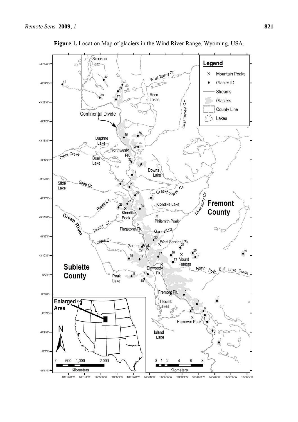

**Figure 1.** Location Map of glaciers in the Wind River Range, Wyoming, USA.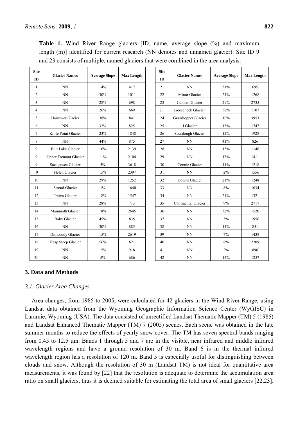| <b>Site</b><br>ID | <b>Glacier Names</b>         | <b>Average Slope</b> | <b>Max Length</b> | <b>Site</b><br><b>ID</b> | <b>Glacier Names</b> | <b>Average Slope</b> | <b>Max Length</b> |
|-------------------|------------------------------|----------------------|-------------------|--------------------------|----------------------|----------------------|-------------------|
| 1                 | NN                           | 14%                  | 417               | 21                       | <b>NN</b>            | 31%                  | 695               |
| 2                 | <b>NN</b>                    | 30%                  | 1011              | 22                       | Minor Glacier        | 24%                  | 1268              |
| 3                 | <b>NN</b>                    | 28%                  | 698               | 23                       | Gannett Glacier      | 29%                  | 2735              |
| $\overline{4}$    | <b>NN</b>                    | 26%                  | 669               | 23                       | Gooseneck Glacier    | 52%                  | 1107              |
| 5                 | Harrower Glacier             | 38%                  | 841               | 24                       | Grasshopper Glacier  | 10%                  | 3953              |
| 6                 | <b>NN</b>                    | 32%                  | 825               | 25                       | J Glacier            | 13%                  | 1747              |
| $\overline{7}$    | Knife Point Glacier          | 23%                  | 1848              | 26                       | Sourdough Glacier    | 12%                  | 1928              |
| 8                 | <b>NN</b>                    | 44%                  | 875               | 27                       | <b>NN</b>            | 41%                  | 826               |
| 9                 | <b>Bull Lake Glacier</b>     | 16%                  | 2139              | 28                       | <b>NN</b>            | 15%                  | 1146              |
| 9                 | <b>Upper Fremont Glacier</b> | 11%                  | 2104              | 29                       | <b>NN</b>            | 13%                  | 1411              |
| 9                 | Sacagawea Glacier            | $5\%$                | 3618              | 30                       | Connie Glacier       | $11\%$               | 1218              |
| 9                 | Helen Glacier                | 15%                  | 2397              | 31                       | NN                   | 2%                   | 1556              |
| 10                | $\rm NN$                     | 29%                  | 1252              | 32                       | Downs Glacier        | 21%                  | 1248              |
| 11                | <b>Stroud Glacier</b>        | $1\%$                | 1640              | 33                       | <b>NN</b>            | 8%                   | 1034              |
| 12                | <b>Twins Glacier</b>         | 18%                  | 1547              | 34                       | <b>NN</b>            | 21%                  | 1321              |
| 13                | <b>NN</b>                    | 28%                  | 713               | 35                       | Continental Glacier  | 9%                   | 2717              |
| 14                | Mammoth Glacier              | 18%                  | 2645              | 36                       | <b>NN</b>            | 32%                  | 1520              |
| 15                | <b>Baby Glacier</b>          | 45%                  | 835               | 37                       | <b>NN</b>            | 5%                   | 1956              |
| 16                | <b>NN</b>                    | 30%                  | 885               | 38                       | <b>NN</b>            | 14%                  | 851               |
| 17                | Dinwoody Glacier             | 15%                  | 2619              | 39                       | <b>NN</b>            | 7%                   | 1438              |
| 18                | Heap Steep Glacier           | 56%                  | 621               | 40                       | <b>NN</b>            | 8%                   | 2209              |
| 19                | <b>NN</b>                    | 15%                  | 918               | 41                       | <b>NN</b>            | 2%                   | 896               |
| 20                | $\rm NN$                     | 5%                   | 686               | 42                       | <b>NN</b>            | 15%                  | 1257              |

**Table 1.** Wind River Range glaciers [ID, name, average slope  $(\%)$  and maximum length (m)] identified for current research (NN denotes and unnamed glacier). Site ID 9 and 23 consists of multiple, named glaciers that were combined in the area analysis.

### **3. Data and Methods**

#### *3.1. Glacier Area Changes*

Area changes, from 1985 to 2005, were calculated for 42 glaciers in the Wind River Range, using Landsat data obtained from the Wyoming Geographic Information Science Center (WyGISC) in Laramie, Wyoming (USA). The data consisted of unrectified Landsat Thematic Mapper (TM) 5 (1985) and Landsat Enhanced Thematic Mapper (TM) 7 (2005) scenes. Each scene was obtained in the late summer months to reduce the effects of yearly snow cover. The TM has seven spectral bands ranging from 0.45 to 12.5 μm. Bands 1 through 5 and 7 are in the visible, near infrared and middle infrared wavelength regions and have a ground resolution of 30 m. Band 6 is in the thermal infrared wavelength region has a resolution of 120 m. Band 5 is especially useful for distinguishing between clouds and snow. Although the resolution of 30 m (Landsat TM) is not ideal for quantitative area measurements, it was found by [22] that the resolution is adequate to determine the accumulation area ratio on small glaciers, thus it is deemed suitable for estimating the total area of small glaciers [22,23].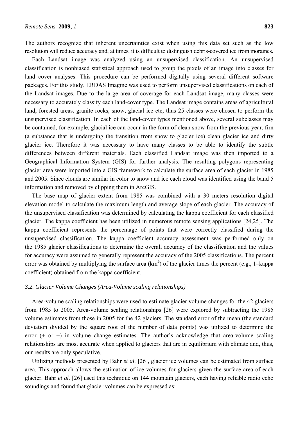The authors recognize that inherent uncertainties exist when using this data set such as the low resolution will reduce accuracy and, at times, it is difficult to distinguish debris-covered ice from moraines.

Each Landsat image was analyzed using an unsupervised classification. An unsupervised classification is nonbiased statistical approach used to group the pixels of an image into classes for land cover analyses. This procedure can be performed digitally using several different software packages. For this study, ERDAS Imagine was used to perform unsupervised classifications on each of the Landsat images. Due to the large area of coverage for each Landsat image, many classes were necessary to accurately classify each land-cover type. The Landsat image contains areas of agricultural land, forested areas, granite rocks, snow, glacial ice etc, thus 25 classes were chosen to perform the unsupervised classification. In each of the land-cover types mentioned above, several subclasses may be contained, for example, glacial ice can occur in the form of clean snow from the previous year, firn (a substance that is undergoing the transition from snow to glacier ice) clean glacier ice and dirty glacier ice. Therefore it was necessary to have many classes to be able to identify the subtle differences between different materials. Each classified Landsat image was then imported to a Geographical Information System (GIS) for further analysis. The resulting polygons representing glacier area were imported into a GIS framework to calculate the surface area of each glacier in 1985 and 2005. Since clouds are similar in color to snow and ice each cloud was identified using the band 5 information and removed by clipping them in ArcGIS.

The base map of glacier extent from 1985 was combined with a 30 meters resolution digital elevation model to calculate the maximum length and average slope of each glacier. The accuracy of the unsupervised classification was determined by calculating the kappa coefficient for each classified glacier. The kappa coefficient has been utilized in numerous remote sensing applications [24,25]. The kappa coefficient represents the percentage of points that were correctly classified during the unsupervised classification. The kappa coefficient accuracy assessment was performed only on the 1985 glacier classifications to determine the overall accuracy of the classification and the values for accuracy were assumed to generally represent the accuracy of the 2005 classifications. The percent error was obtained by multiplying the surface area  $(km^2)$  of the glacier times the percent (e.g., 1–kappa coefficient) obtained from the kappa coefficient.

#### *3.2. Glacier Volume Changes (Area-Volume scaling relationships)*

Area-volume scaling relationships were used to estimate glacier volume changes for the 42 glaciers from 1985 to 2005. Area-volume scaling relationships [26] were explored by subtracting the 1985 volume estimates from those in 2005 for the 42 glaciers. The standard error of the mean (the standard deviation divided by the square root of the number of data points) was utilized to determine the error (+ or −) in volume change estimates. The author's acknowledge that area-volume scaling relationships are most accurate when applied to glaciers that are in equilibrium with climate and, thus, our results are only speculative.

Utilizing methods presented by Bahr *et al.* [26], glacier ice volumes can be estimated from surface area. This approach allows the estimation of ice volumes for glaciers given the surface area of each glacier. Bahr *et al.* [26] used this technique on 144 mountain glaciers, each having reliable radio echo soundings and found that glacier volumes can be expressed as: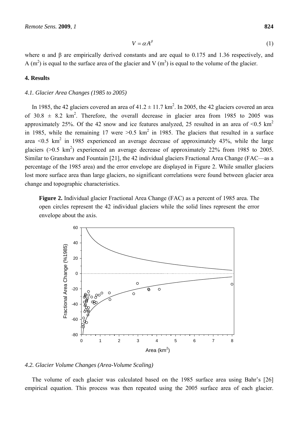where  $\alpha$  and  $\beta$  are empirically derived constants and are equal to 0.175 and 1.36 respectively, and A (m<sup>2</sup>) is equal to the surface area of the glacier and V (m<sup>3</sup>) is equal to the volume of the glacier.

#### **4. Results**

#### *4.1. Glacier Area Changes (1985 to 2005)*

In 1985, the 42 glaciers covered an area of  $41.2 \pm 11.7$  km<sup>2</sup>. In 2005, the 42 glaciers covered an area of 30.8  $\pm$  8.2 km<sup>2</sup>. Therefore, the overall decrease in glacier area from 1985 to 2005 was approximately 25%. Of the 42 snow and ice features analyzed, 25 resulted in an area of  $\leq 0.5$  km<sup>2</sup> in 1985, while the remaining 17 were  $>0.5$  km<sup>2</sup> in 1985. The glaciers that resulted in a surface area <0.5  $\text{km}^2$  in 1985 experienced an average decrease of approximately 43%, while the large glaciers ( $>0.5$  km<sup>2</sup>) experienced an average decrease of approximately 22% from 1985 to 2005. Similar to Granshaw and Fountain [21], the 42 individual glaciers Fractional Area Change (FAC—as a percentage of the 1985 area) and the error envelope are displayed in Figure 2. While smaller glaciers lost more surface area than large glaciers, no significant correlations were found between glacier area change and topographic characteristics.

**Figure 2.** Individual glacier Fractional Area Change (FAC) as a percent of 1985 area. The open circles represent the 42 individual glaciers while the solid lines represent the error envelope about the axis.



*4.2. Glacier Volume Changes (Area-Volume Scaling)* 

The volume of each glacier was calculated based on the 1985 surface area using Bahr's [26] empirical equation. This process was then repeated using the 2005 surface area of each glacier.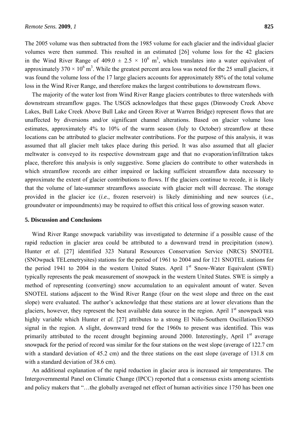The 2005 volume was then subtracted from the 1985 volume for each glacier and the individual glacier volumes were then summed. This resulted in an estimated [26] volume loss for the 42 glaciers in the Wind River Range of 409.0  $\pm$  2.5  $\times$  10<sup>6</sup> m<sup>3</sup>, which translates into a water equivalent of approximately 370  $\times$  10<sup>6</sup> m<sup>3</sup>. While the greatest percent area loss was noted for the 25 small glaciers, it was found the volume loss of the 17 large glaciers accounts for approximately 88% of the total volume loss in the Wind River Range, and therefore makes the largest contributions to downstream flows.

The majority of the water lost from Wind River Range glaciers contributes to three watersheds with downstream streamflow gages. The USGS acknowledges that these gages (Dinwoody Creek Above Lakes, Bull Lake Creek Above Bull Lake and Green River at Warren Bridge) represent flows that are unaffected by diversions and/or significant channel alterations. Based on glacier volume loss estimates, approximately 4% to 10% of the warm season (July to October) streamflow at these locations can be attributed to glacier meltwater contributions. For the purpose of this analysis, it was assumed that all glacier melt takes place during this period. It was also assumed that all glacier meltwater is conveyed to its respective downstream gage and that no evaporation/infiltration takes place, therefore this analysis is only suggestive. Some glaciers do contribute to other watersheds in which streamflow records are either impaired or lacking sufficient streamflow data necessary to approximate the extent of glacier contributions to flows. If the glaciers continue to recede, it is likely that the volume of late-summer streamflows associate with glacier melt will decrease. The storage provided in the glacier ice (*i.e.*, frozen reservoir) is likely diminishing and new sources (*i.e.*, groundwater or impoundments) may be required to offset this critical loss of growing season water.

#### **5. Discussion and Conclusions**

Wind River Range snowpack variability was investigated to determine if a possible cause of the rapid reduction in glacier area could be attributed to a downward trend in precipitation (snow). Hunter *et al.* [27] identified 323 Natural Resources Conservation Service (NRCS) SNOTEL (SNOwpack TELemetrysites) stations for the period of 1961 to 2004 and for 121 SNOTEL stations for the period 1941 to 2004 in the western United States. April  $1<sup>st</sup>$  Snow-Water Equivalent (SWE) typically represents the peak measurement of snowpack in the western United States. SWE is simply a method of representing (converting) snow accumulation to an equivalent amount of water. Seven SNOTEL stations adjacent to the Wind River Range (four on the west slope and three on the east slope) were evaluated. The author's acknowledge that these stations are at lower elevations than the glaciers, however, they represent the best available data source in the region. April  $1<sup>st</sup>$  snowpack was highly variable which Hunter *et al.* [27] attributes to a strong El Niño-Southern Oscillation/ENSO signal in the region. A slight, downward trend for the 1960s to present was identified. This was primarily attributed to the recent drought beginning around 2000. Interestingly, April 1<sup>st</sup> average snowpack for the period of record was similar for the four stations on the west slope (average of 122.7 cm with a standard deviation of 45.2 cm) and the three stations on the east slope (average of 131.8 cm with a standard deviation of 38.6 cm).

An additional explanation of the rapid reduction in glacier area is increased air temperatures. The Intergovernmental Panel on Climatic Change (IPCC) reported that a consensus exists among scientists and policy makers that "…the globally averaged net effect of human activities since 1750 has been one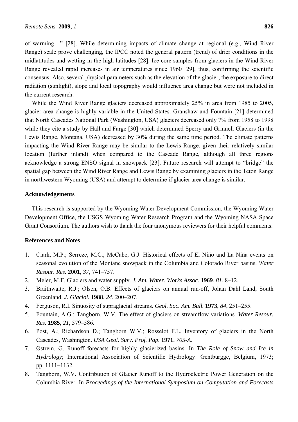of warming…" [28]. While determining impacts of climate change at regional (e.g., Wind River Range) scale prove challenging, the IPCC noted the general pattern (trend) of drier conditions in the midlatitudes and wetting in the high latitudes [28]. Ice core samples from glaciers in the Wind River Range revealed rapid increases in air temperatures since 1960 [29], thus, confirming the scientific consensus. Also, several physical parameters such as the elevation of the glacier, the exposure to direct radiation (sunlight), slope and local topography would influence area change but were not included in the current research.

While the Wind River Range glaciers decreased approximately 25% in area from 1985 to 2005, glacier area change is highly variable in the United States. Granshaw and Fountain [21] determined that North Cascades National Park (Washington, USA) glaciers decreased only 7% from 1958 to 1998 while they cite a study by Hall and Farge [30] which determined Sperry and Grinnell Glaciers (in the Lewis Range, Montana, USA) decreased by 30% during the same time period. The climate patterns impacting the Wind River Range may be similar to the Lewis Range, given their relatively similar location (further inland) when compared to the Cascade Range, although all three regions acknowledge a strong ENSO signal in snowpack [23]. Future research will attempt to "bridge" the spatial gap between the Wind River Range and Lewis Range by examining glaciers in the Teton Range in northwestern Wyoming (USA) and attempt to determine if glacier area change is similar.

#### **Acknowledgements**

This research is supported by the Wyoming Water Development Commission, the Wyoming Water Development Office, the USGS Wyoming Water Research Program and the Wyoming NASA Space Grant Consortium. The authors wish to thank the four anonymous reviewers for their helpful comments.

#### **References and Notes**

- 1. Clark, M.P.; Serreze, M.C.; McCabe, G.J. Historical effects of El Niño and La Niña events on seasonal evolution of the Montane snowpack in the Columbia and Colorado River basins. *Water Resour. Res.* **2001**, *37*, 741–757.
- 2. Meier, M.F. Glaciers and water supply. *J. Am. Water. Works Assoc.* **1969**, *81*, 8–12.
- 3. Braithwaite, R.J.; Olsen, O.B. Effects of glaciers on annual run-off, Johan Dahl Land, South Greenland. *J. Glaciol.* **1988**, *24*, 200–207.
- 4. Ferguson, R.I. Sinuosity of supraglacial streams. *Geol. Soc. Am. Bull.* **1973**, *84*, 251–255.
- 5. Fountain, A.G.; Tangborn, W.V. The effect of glaciers on streamflow variations. *Water Resour. Res.* **1985**, *21*, 579–586.
- 6. Post, A.; Richardson D.; Tangborn W.V.; Rosselot F.L. Inventory of glaciers in the North Cascades, Washington. *USA Geol. Surv. Prof. Pap.* **1971**, *705-A*.
- 7. Østrem, G. Runoff forecasts for highly glacierized basins. In *The Role of Snow and Ice in Hydrology*; International Association of Scientific Hydrology: Gentburgge, Belgium, 1973; pp. 1111–1132.
- 8. Tangborn, W.V. Contribution of Glacier Runoff to the Hydroelectric Power Generation on the Columbia River. In *Proceedings of the International Symposium on Computation and Forecasts*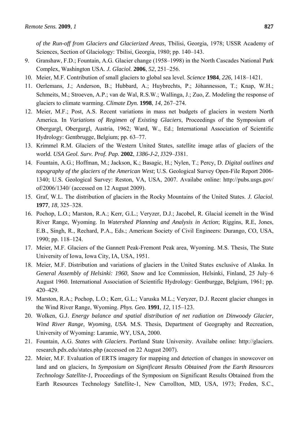*of the Run-off from Glaciers and Glacierized Areas*, Tbilisi, Georgia, 1978; USSR Academy of Sciences, Section of Glaciology: Tbilisi, Georgia, 1980; pp. 140–143.

- 9. Granshaw, F.D.; Fountain, A.G. Glacier change (1958–1998) in the North Cascades National Park Complex, Washington USA*. J. Glaciol.* **2006**, *52*, 251–256.
- 10*.* Meier, M.F. Contribution of small glaciers to global sea level. *Science* **1984**, *226*, 1418–1421.
- 11. Oerlemans, J.; Anderson, B.; Hubbard, A.; Huybrechts, P.; Jóhannesson, T.; Knap, W.H.; Schmeits, M.; Stroeven, A.P.; van de Wal, R.S.W.; Wallinga, J.; Zuo, Z. Modeling the response of glaciers to climate warming. *Climate Dyn.* **1998**, *14*, 267–274.
- 12. Meier, M.F.; Post, A.S. Recent variations in mass net budgets of glaciers in western North America. In *Variations of Regimen of Existing Glaciers*, Proceedings of the Symposium of Obergurgl, Obergurgl, Austria, 1962; Ward, W., Ed.; International Association of Scientific Hydrology: Gentbrugge, Belgium; pp. 63–77.
- 13. Krimmel R.M. Glaciers of the Western United States, satellite image atlas of glaciers of the world. *USA Geol. Surv. Prof. Pap.* **2002**, *1386-J-2*, J329–J381.
- 14. Fountain, A.G.; Hoffman, M.; Jackson, K.; Basagic, H.; Nylen, T.; Percy, D. *Digital outlines and topography of the glaciers of the American West*; U.S. Geological Survey Open-File Report 2006- 1340; U.S. Geological Survey: Reston, VA, USA, 2007. Availabe online: http://pubs.usgs.gov/ of/2006/1340/ (accessed on 12 August 2009).
- 15. Graf, W.L. The distribution of glaciers in the Rocky Mountains of the United States. *J. Glaciol.* **1977**, *18*, 325–328.
- 16. Pochop, L.O.; Marston, R.A.; Kerr, G.L.; Veryzer, D.J.; Jacobel, R. Glacial icemelt in the Wind River Range, Wyoming. In *Watershed Planning and Analysis in Action*; Riggins, R.E, Jones, E.B., Singh, R., Rechard, P.A., Eds.; American Society of Civil Engineers: Durango, CO, USA, 1990; pp. 118–124.
- 17. Meier, M.F. Glaciers of the Gannett Peak-Fremont Peak area, Wyoming. M.S. Thesis, The State University of Iowa, Iowa City, IA, USA, 1951.
- 18. Meier, M.F. Distribution and variations of glaciers in the United States exclusive of Alaska. In *General Assembly of Helsinki: 1960*, Snow and Ice Commission, Helsinki, Finland, 25 July–6 August 1960. International Association of Scientific Hydrology: Gentburgge, Belgium, 1961; pp. 420–429.
- 19. Marston, R.A.; Pochop, L.O.; Kerr, G.L.; Varuska M.L.; Veryzer, D.J. Recent glacier changes in the Wind River Range, Wyoming. *Phys. Geo.* **1991**, *12*, 115–123.
- 20. Wolken, G.J. *Energy balance and spatial distribution of net radiation on Dinwoody Glacier, Wind River Range, Wyoming, USA.* M.S. Thesis, Department of Geography and Recreation, University of Wyoming: Laramie, WY, USA, 2000.
- 21. Fountain, A.G. *States with Glaciers*. Portland State University. Availabe online: http://glaciers. research.pdx.edu/states.php (accessed on 22 August 2007).
- 22. Meier, M.F. Evaluation of ERTS imagery for mapping and detection of changes in snowcover on land and on glaciers, In *Symposium on Significant Results Obtained from the Earth Resources Technology Satellite-1,* Proceedings of the Symposium on Significant Results Obtained from the Earth Resources Technology Satellite-1, New Carrollton, MD, USA, 1973; Freden, S.C.,